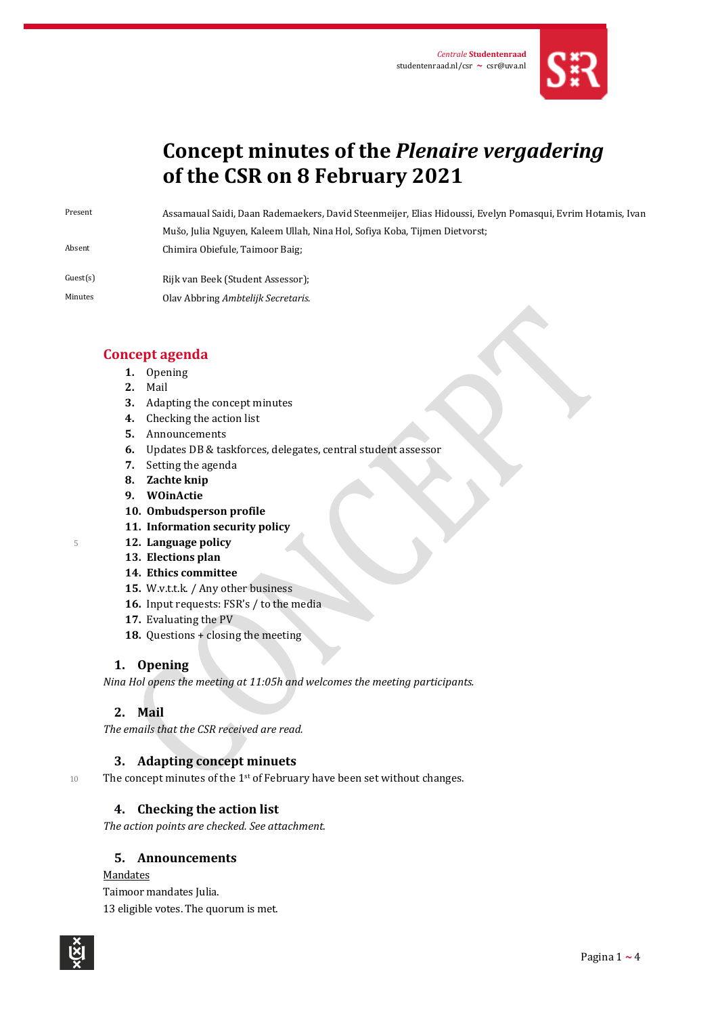

# **Concept minutes of the** *Plenaire vergadering* **of the CSR on 8 February 2021**

Present Assamaual Saidi, Daan Rademaekers, David Steenmeijer, Elias Hidoussi, Evelyn Pomasqui, Evrim Hotamis, Ivan Mušo, Julia Nguyen, Kaleem Ullah, Nina Hol, Sofiya Koba, Tijmen Dietvorst;

Absent Chimira Obiefule, Taimoor Baig;

Guest(s) Rijk van Beek (Student Assessor); Minutes Olav Abbring *Ambtelijk Secretaris*.

## **Concept agenda**

- **1.** Opening
- **2.** Mail
- **3.** Adapting the concept minutes
- **4.** Checking the action list
- **5.** Announcements
- **6.** Updates DB & taskforces, delegates, central student assessor
- **7.** Setting the agenda
- **8. Zachte knip**
- **9. WOinActie**
- **10. Ombudsperson profile**
- **11. Information security policy**
- <sup>5</sup> **12. Language policy**
	- **13. Elections plan**
	- **14. Ethics committee**
	- **15.** W.v.t.t.k. / Any other business
	- **16.** Input requests: FSR's / to the media
	- **17.** Evaluating the PV
	- **18.** Questions + closing the meeting

## **1. Opening**

*Nina Hol opens the meeting at 11:05h and welcomes the meeting participants.* 

## **2. Mail**

*The emails that the CSR received are read.*

## **3. Adapting concept minuets**

10 The concept minutes of the  $1<sup>st</sup>$  of February have been set without changes.

## **4. Checking the action list**

*The action points are checked. See attachment.*

## **5. Announcements**

**Mandates** 

Taimoor mandates Julia.

13 eligible votes. The quorum is met.

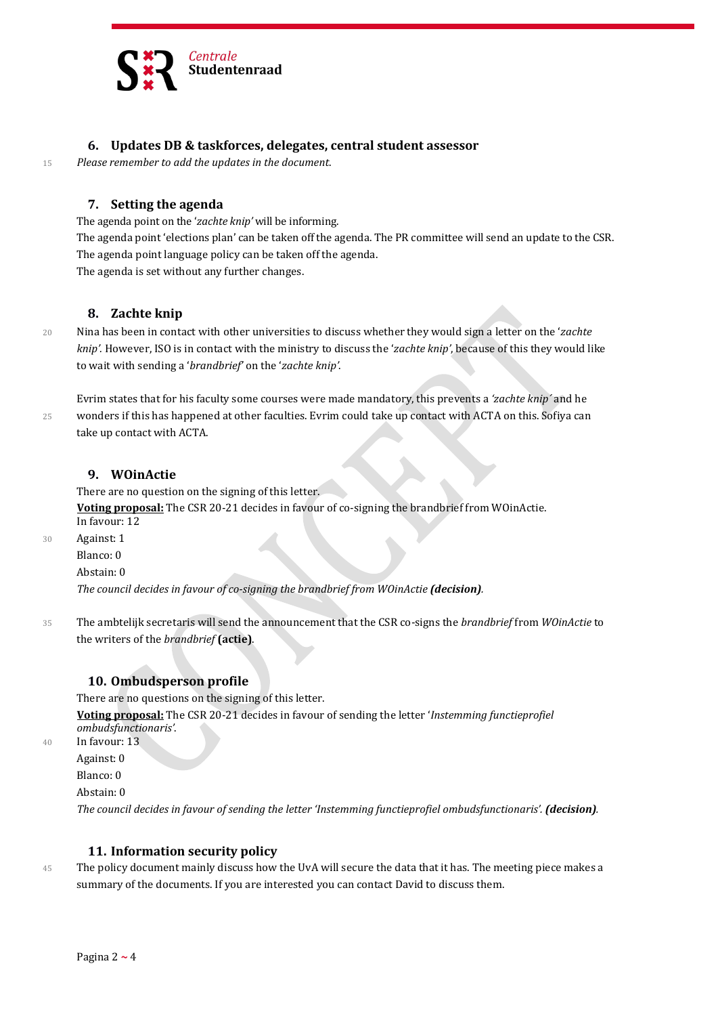

#### **6. Updates DB & taskforces, delegates, central student assessor**

<sup>15</sup> *Please remember to add the updates in the document*.

#### **7. Setting the agenda**

The agenda point on the '*zachte knip'* will be informing.

The agenda point 'elections plan' can be taken off the agenda. The PR committee will send an update to the CSR. The agenda point language policy can be taken off the agenda.

The agenda is set without any further changes.

#### **8. Zachte knip**

<sup>20</sup> Nina has been in contact with other universities to discuss whether they would sign a letter on the '*zachte knip'.* However, ISO is in contact with the ministry to discuss the '*zachte knip'*, because of this they would like to wait with sending a '*brandbrief'* on the '*zachte knip'*.

Evrim states that for his faculty some courses were made mandatory, this prevents a *'zachte knip´* and he 25 wonders if this has happened at other faculties. Evrim could take up contact with ACTA on this. Sofiya can take up contact with ACTA.

#### **9. WOinActie**

There are no question on the signing of this letter.

**Voting proposal:** The CSR 20-21 decides in favour of co-signing the brandbrief from WOinActie. In favour: 12

30 Against: 1

Blanco: 0

Abstain: 0

*The council decides in favour of co-signing the brandbrief from WOinActie (decision).*

<sup>35</sup> The ambtelijk secretaris will send the announcement that the CSR co-signs the *brandbrief* from *WOinActie* to the writers of the *brandbrief* **(actie)**.

## **10. Ombudsperson profile**

There are no questions on the signing of this letter.

**Voting proposal:** The CSR 20-21 decides in favour of sending the letter '*Instemming functieprofiel ombudsfunctionaris'*.

40 In favour: 13

Against: 0

Blanco: 0

Abstain: 0

*The council decides in favour of sending the letter 'Instemming functieprofiel ombudsfunctionaris'. (decision).*

#### **11. Information security policy**

45 The policy document mainly discuss how the UvA will secure the data that it has. The meeting piece makes a summary of the documents. If you are interested you can contact David to discuss them.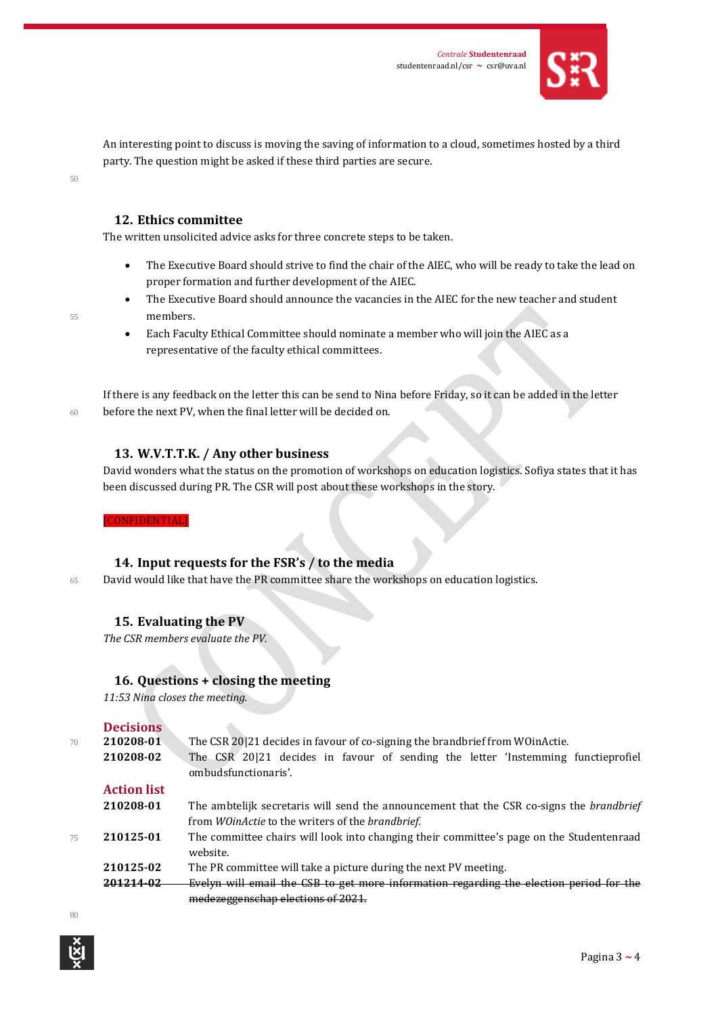

An interesting point to discuss is moving the saving of information to a cloud, sometimes hosted by a third party. The question might be asked if these third parties are secure.

50

#### **12. Ethics committee**

The written unsolicited advice asks for three concrete steps to be taken.

- The Executive Board should strive to find the chair of the AIEC, who will be ready to take the lead on proper formation and further development of the AIEC.
- The Executive Board should announce the vacancies in the AIEC for the new teacher and student 55 members.
	- Each Faculty Ethical Committee should nominate a member who will join the AIEC as a representative of the faculty ethical committees.

If there is any feedback on the letter this can be send to Nina before Friday, so it can be added in the letter 60 before the next PV, when the final letter will be decided on.

#### **13. W.V.T.T.K. / Any other business**

David wonders what the status on the promotion of workshops on education logistics. Sofiya states that it has been discussed during PR. The CSR will post about these workshops in the story.

#### [CONFIDENTIAL]

#### **14. Input requests for the FSR's / to the media**

65 David would like that have the PR committee share the workshops on education logistics.

#### **15. Evaluating the PV**

*The CSR members evaluate the PV.*

#### **16. Questions + closing the meeting**

 $\blacktriangle$ 

*11:53 Nina closes the meeting.*

#### **Decisions**